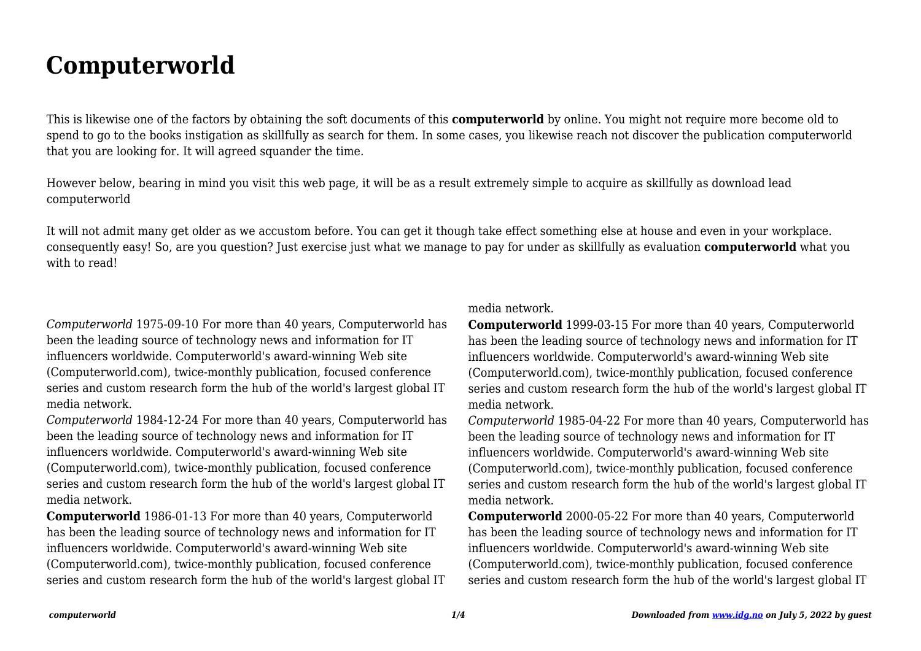## **Computerworld**

This is likewise one of the factors by obtaining the soft documents of this **computerworld** by online. You might not require more become old to spend to go to the books instigation as skillfully as search for them. In some cases, you likewise reach not discover the publication computerworld that you are looking for. It will agreed squander the time.

However below, bearing in mind you visit this web page, it will be as a result extremely simple to acquire as skillfully as download lead computerworld

It will not admit many get older as we accustom before. You can get it though take effect something else at house and even in your workplace. consequently easy! So, are you question? Just exercise just what we manage to pay for under as skillfully as evaluation **computerworld** what you with to read!

*Computerworld* 1975-09-10 For more than 40 years, Computerworld has been the leading source of technology news and information for IT influencers worldwide. Computerworld's award-winning Web site (Computerworld.com), twice-monthly publication, focused conference series and custom research form the hub of the world's largest global IT media network.

*Computerworld* 1984-12-24 For more than 40 years, Computerworld has been the leading source of technology news and information for IT influencers worldwide. Computerworld's award-winning Web site (Computerworld.com), twice-monthly publication, focused conference series and custom research form the hub of the world's largest global IT media network.

**Computerworld** 1986-01-13 For more than 40 years, Computerworld has been the leading source of technology news and information for IT influencers worldwide. Computerworld's award-winning Web site (Computerworld.com), twice-monthly publication, focused conference series and custom research form the hub of the world's largest global IT media network.

**Computerworld** 1999-03-15 For more than 40 years, Computerworld has been the leading source of technology news and information for IT influencers worldwide. Computerworld's award-winning Web site (Computerworld.com), twice-monthly publication, focused conference series and custom research form the hub of the world's largest global IT media network.

*Computerworld* 1985-04-22 For more than 40 years, Computerworld has been the leading source of technology news and information for IT influencers worldwide. Computerworld's award-winning Web site (Computerworld.com), twice-monthly publication, focused conference series and custom research form the hub of the world's largest global IT media network.

**Computerworld** 2000-05-22 For more than 40 years, Computerworld has been the leading source of technology news and information for IT influencers worldwide. Computerworld's award-winning Web site (Computerworld.com), twice-monthly publication, focused conference series and custom research form the hub of the world's largest global IT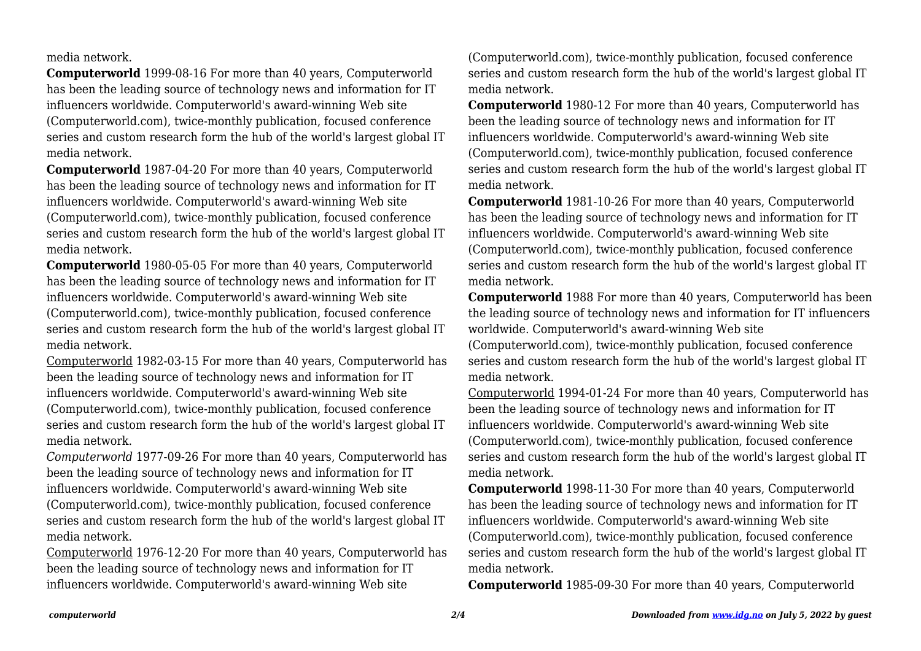media network.

**Computerworld** 1999-08-16 For more than 40 years, Computerworld has been the leading source of technology news and information for IT influencers worldwide. Computerworld's award-winning Web site (Computerworld.com), twice-monthly publication, focused conference series and custom research form the hub of the world's largest global IT media network.

**Computerworld** 1987-04-20 For more than 40 years, Computerworld has been the leading source of technology news and information for IT influencers worldwide. Computerworld's award-winning Web site (Computerworld.com), twice-monthly publication, focused conference series and custom research form the hub of the world's largest global IT media network.

**Computerworld** 1980-05-05 For more than 40 years, Computerworld has been the leading source of technology news and information for IT influencers worldwide. Computerworld's award-winning Web site (Computerworld.com), twice-monthly publication, focused conference series and custom research form the hub of the world's largest global IT media network.

Computerworld 1982-03-15 For more than 40 years, Computerworld has been the leading source of technology news and information for IT influencers worldwide. Computerworld's award-winning Web site (Computerworld.com), twice-monthly publication, focused conference series and custom research form the hub of the world's largest global IT media network.

*Computerworld* 1977-09-26 For more than 40 years, Computerworld has been the leading source of technology news and information for IT influencers worldwide. Computerworld's award-winning Web site (Computerworld.com), twice-monthly publication, focused conference series and custom research form the hub of the world's largest global IT media network.

Computerworld 1976-12-20 For more than 40 years, Computerworld has been the leading source of technology news and information for IT influencers worldwide. Computerworld's award-winning Web site

(Computerworld.com), twice-monthly publication, focused conference series and custom research form the hub of the world's largest global IT media network.

**Computerworld** 1980-12 For more than 40 years, Computerworld has been the leading source of technology news and information for IT influencers worldwide. Computerworld's award-winning Web site (Computerworld.com), twice-monthly publication, focused conference series and custom research form the hub of the world's largest global IT media network.

**Computerworld** 1981-10-26 For more than 40 years, Computerworld has been the leading source of technology news and information for IT influencers worldwide. Computerworld's award-winning Web site (Computerworld.com), twice-monthly publication, focused conference series and custom research form the hub of the world's largest global IT media network.

**Computerworld** 1988 For more than 40 years, Computerworld has been the leading source of technology news and information for IT influencers worldwide. Computerworld's award-winning Web site (Computerworld.com), twice-monthly publication, focused conference

series and custom research form the hub of the world's largest global IT media network.

Computerworld 1994-01-24 For more than 40 years, Computerworld has been the leading source of technology news and information for IT influencers worldwide. Computerworld's award-winning Web site (Computerworld.com), twice-monthly publication, focused conference series and custom research form the hub of the world's largest global IT media network.

**Computerworld** 1998-11-30 For more than 40 years, Computerworld has been the leading source of technology news and information for IT influencers worldwide. Computerworld's award-winning Web site (Computerworld.com), twice-monthly publication, focused conference series and custom research form the hub of the world's largest global IT media network.

**Computerworld** 1985-09-30 For more than 40 years, Computerworld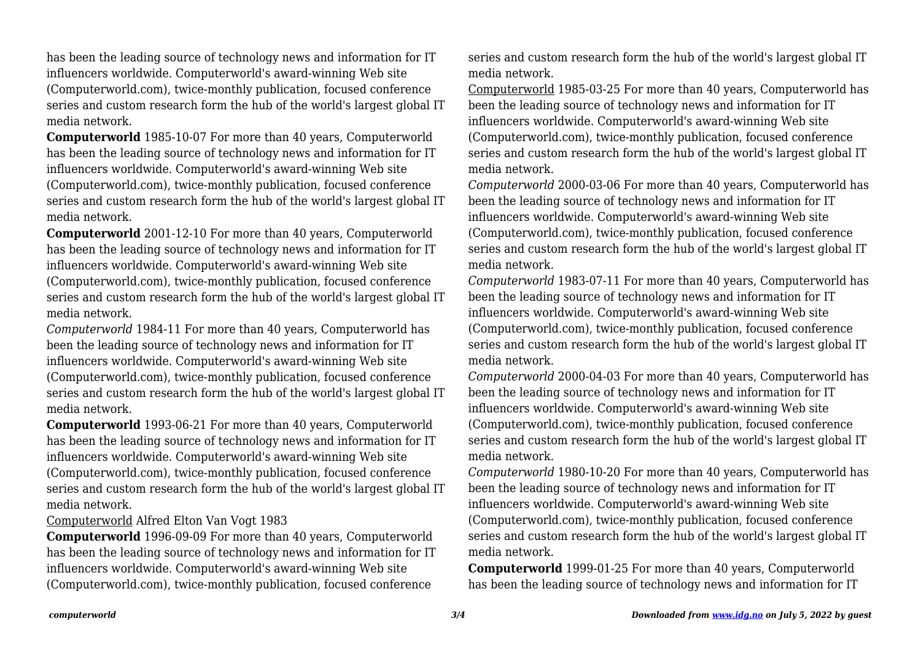has been the leading source of technology news and information for IT influencers worldwide. Computerworld's award-winning Web site (Computerworld.com), twice-monthly publication, focused conference series and custom research form the hub of the world's largest global IT media network.

**Computerworld** 1985-10-07 For more than 40 years, Computerworld has been the leading source of technology news and information for IT influencers worldwide. Computerworld's award-winning Web site (Computerworld.com), twice-monthly publication, focused conference series and custom research form the hub of the world's largest global IT media network.

**Computerworld** 2001-12-10 For more than 40 years, Computerworld has been the leading source of technology news and information for IT influencers worldwide. Computerworld's award-winning Web site (Computerworld.com), twice-monthly publication, focused conference series and custom research form the hub of the world's largest global IT media network.

*Computerworld* 1984-11 For more than 40 years, Computerworld has been the leading source of technology news and information for IT influencers worldwide. Computerworld's award-winning Web site (Computerworld.com), twice-monthly publication, focused conference series and custom research form the hub of the world's largest global IT media network.

**Computerworld** 1993-06-21 For more than 40 years, Computerworld has been the leading source of technology news and information for IT influencers worldwide. Computerworld's award-winning Web site (Computerworld.com), twice-monthly publication, focused conference series and custom research form the hub of the world's largest global IT media network.

## Computerworld Alfred Elton Van Vogt 1983

**Computerworld** 1996-09-09 For more than 40 years, Computerworld has been the leading source of technology news and information for IT influencers worldwide. Computerworld's award-winning Web site (Computerworld.com), twice-monthly publication, focused conference

series and custom research form the hub of the world's largest global IT media network.

Computerworld 1985-03-25 For more than 40 years, Computerworld has been the leading source of technology news and information for IT influencers worldwide. Computerworld's award-winning Web site (Computerworld.com), twice-monthly publication, focused conference series and custom research form the hub of the world's largest global IT media network.

*Computerworld* 2000-03-06 For more than 40 years, Computerworld has been the leading source of technology news and information for IT influencers worldwide. Computerworld's award-winning Web site (Computerworld.com), twice-monthly publication, focused conference series and custom research form the hub of the world's largest global IT media network.

*Computerworld* 1983-07-11 For more than 40 years, Computerworld has been the leading source of technology news and information for IT influencers worldwide. Computerworld's award-winning Web site (Computerworld.com), twice-monthly publication, focused conference series and custom research form the hub of the world's largest global IT media network.

*Computerworld* 2000-04-03 For more than 40 years, Computerworld has been the leading source of technology news and information for IT influencers worldwide. Computerworld's award-winning Web site (Computerworld.com), twice-monthly publication, focused conference series and custom research form the hub of the world's largest global IT media network.

*Computerworld* 1980-10-20 For more than 40 years, Computerworld has been the leading source of technology news and information for IT influencers worldwide. Computerworld's award-winning Web site (Computerworld.com), twice-monthly publication, focused conference series and custom research form the hub of the world's largest global IT media network.

**Computerworld** 1999-01-25 For more than 40 years, Computerworld has been the leading source of technology news and information for IT